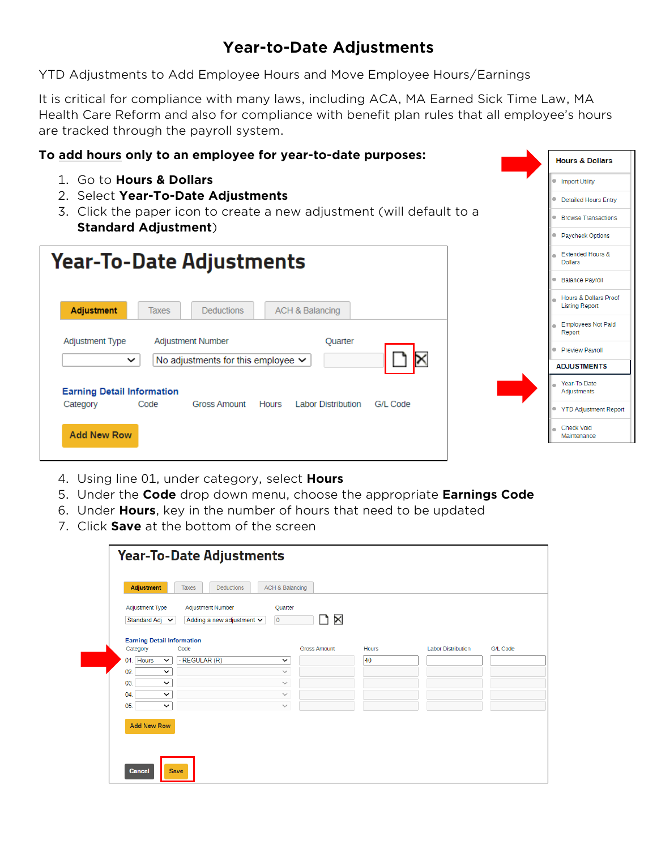## **Year-to-Date Adjustments**

YTD Adjustments to Add Employee Hours and Move Employee Hours/Earnings

It is critical for compliance with many laws, including ACA, MA Earned Sick Time Law, MA Health Care Reform and also for compliance with benefit plan rules that all employee's hours are tracked through the payroll system.

> **Hours & Dollars Import Utility Detailed Hours Entry Browse Transactions**

## **To add hours only to an employee for year-to-date purposes:**

- 1. Go to **Hours & Dollars**
- 2. Select **Year-To-Date Adjustments**
- 3. Click the paper icon to create a new adjustment (will default to a **Standard Adjustment**)

|                                                                                                  | Paycheck Options                                          |
|--------------------------------------------------------------------------------------------------|-----------------------------------------------------------|
| <b>Year-To-Date Adjustments</b>                                                                  | Extended Hours &<br><b>Dollars</b>                        |
|                                                                                                  | <b>Balance Payroll</b>                                    |
| Adjustment<br><b>ACH &amp; Balancing</b><br><b>Deductions</b><br>Taxes                           | <b>Hours &amp; Dollars Proof</b><br><b>Listing Report</b> |
|                                                                                                  | <b>Employees Not Paid</b><br>Report                       |
| <b>Adjustment Type</b><br>Adjustment Number<br><b>Ouarter</b>                                    | <b>Preview Payroll</b><br>۰                               |
| No adjustments for this employee $\vee$<br>$\checkmark$                                          | <b>ADJUSTMENTS</b>                                        |
| <b>Earning Detail Information</b>                                                                | Year-To-Date<br>Adjustments                               |
| <b>Labor Distribution</b><br><b>Gross Amount</b><br>G/L Code<br>Code<br><b>Hours</b><br>Category | <b>YTD Adjustment Report</b>                              |
| <b>Add New Row</b>                                                                               | <b>Check Void</b><br>m<br>Maintenance                     |
|                                                                                                  |                                                           |

- 4. Using line 01, under category, select **Hours**
- 5. Under the **Code** drop down menu, choose the appropriate **Earnings Code**
- 6. Under **Hours**, key in the number of hours that need to be updated
- 7. Click **Save** at the bottom of the screen

| Adjustment Type<br>Standard Adj $\sim$ | <b>Adjustment Number</b><br>Adding a new adjustment $\vee$ | Quarter<br>$\times$<br>$\overline{0}$ |              |                           |          |
|----------------------------------------|------------------------------------------------------------|---------------------------------------|--------------|---------------------------|----------|
|                                        | <b>Earning Detail Information</b>                          |                                       |              |                           |          |
| Category                               | Code                                                       | <b>Gross Amount</b>                   | <b>Hours</b> | <b>Labor Distribution</b> | G/L Code |
| Hours<br>01.                           | - REGULAR (R)<br>$\check{~}$                               | $\check{ }$                           | 40           |                           |          |
| 02.                                    | $\checkmark$                                               | $\checkmark$                          |              |                           |          |
| 03.                                    | $\check{ }$                                                | $\checkmark$                          |              |                           |          |
| 04.                                    | $\check{~}$                                                | $\checkmark$                          |              |                           |          |
| 05.                                    | $\check{~}$                                                | $\checkmark$                          |              |                           |          |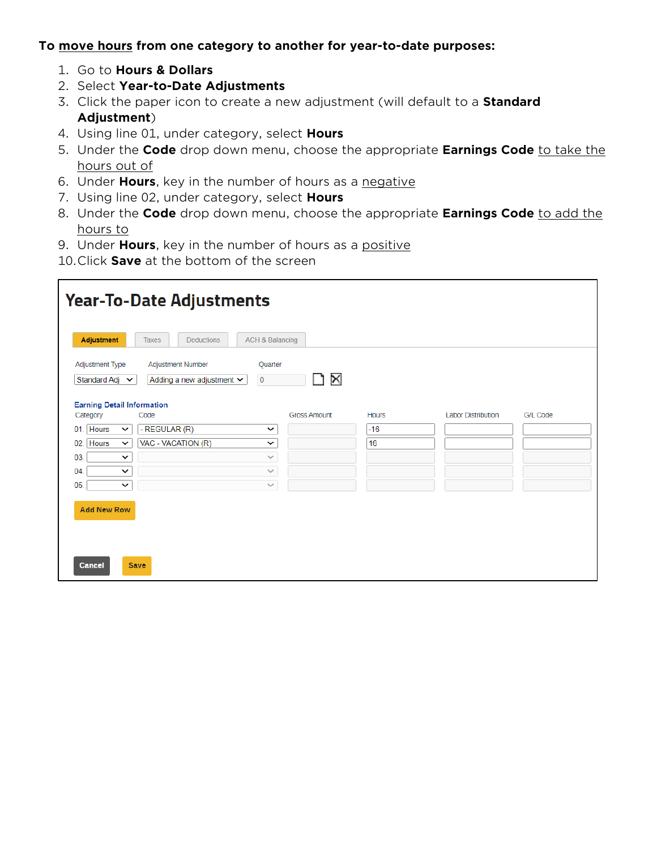## **To move hours from one category to another for year-to-date purposes:**

- 1. Go to **Hours & Dollars**
- 2. Select **Year-to-Date Adjustments**
- 3. Click the paper icon to create a new adjustment (will default to a **Standard Adjustment**)
- 4. Using line 01, under category, select **Hours**
- 5. Under the **Code** drop down menu, choose the appropriate **Earnings Code** to take the hours out of
- 6. Under **Hours**, key in the number of hours as a negative
- 7. Using line 02, under category, select **Hours**
- 8. Under the **Code** drop down menu, choose the appropriate **Earnings Code** to add the hours to
- 9. Under **Hours**, key in the number of hours as a positive
- 10.Click **Save** at the bottom of the screen

| <b>Year-To-Date Adjustments</b>                                                                                                                         |                                                   |                       |              |                           |          |
|---------------------------------------------------------------------------------------------------------------------------------------------------------|---------------------------------------------------|-----------------------|--------------|---------------------------|----------|
| <b>Adjustment</b><br><b>Deductions</b><br><b>Taxes</b><br>Adjustment Type<br>Adjustment Number<br>Standard Adj $\sim$<br>Adding a new adjustment $\vee$ | <b>ACH &amp; Balancing</b><br>Quarter<br>$\bf{0}$ | $\boldsymbol{\times}$ |              |                           |          |
| <b>Earning Detail Information</b><br>Code<br>Category                                                                                                   |                                                   | <b>Gross Amount</b>   | <b>Hours</b> | <b>Labor Distribution</b> | G/L Code |
| - REGULAR (R)<br>Hours<br>01.<br>$\check{~}$                                                                                                            | $\check{ }$                                       |                       | $-16$        |                           |          |
| Hours<br>VAC - VACATION (R)<br>02.<br>$\checkmark$                                                                                                      | $\check{ }$                                       |                       | 16           |                           |          |
| 03.<br>$\check{~}$                                                                                                                                      | $\checkmark$                                      |                       |              |                           |          |
| 04<br>$\checkmark$                                                                                                                                      | $\checkmark$                                      |                       |              |                           |          |
| 05.<br>$\check{ }$                                                                                                                                      | $\checkmark$                                      |                       |              |                           |          |
| <b>Add New Row</b><br>Save<br><b>Cancel</b>                                                                                                             |                                                   |                       |              |                           |          |